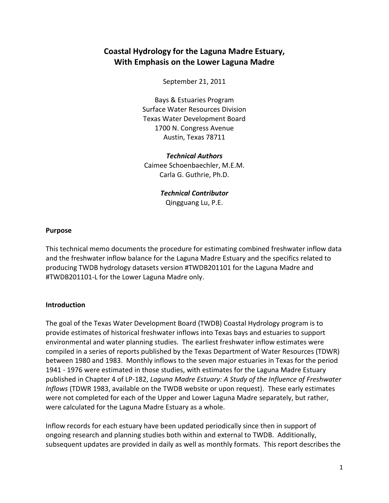# **Coastal Hydrology for the Laguna Madre Estuary, With Emphasis on the Lower Laguna Madre**

September 21, 2011

Bays & Estuaries Program Surface Water Resources Division Texas Water Development Board 1700 N. Congress Avenue Austin, Texas 78711

*Technical Authors* Caimee Schoenbaechler, M.E.M. Carla G. Guthrie, Ph.D.

> *Technical Contributor* Qingguang Lu, P.E.

#### **Purpose**

This technical memo documents the procedure for estimating combined freshwater inflow data and the freshwater inflow balance for the Laguna Madre Estuary and the specifics related to producing TWDB hydrology datasets version #TWDB201101 for the Laguna Madre and #TWDB201101-L for the Lower Laguna Madre only.

#### **Introduction**

The goal of the Texas Water Development Board (TWDB) Coastal Hydrology program is to provide estimates of historical freshwater inflows into Texas bays and estuaries to support environmental and water planning studies. The earliest freshwater inflow estimates were compiled in a series of reports published by the Texas Department of Water Resources (TDWR) between 1980 and 1983. Monthly inflows to the seven major estuaries in Texas for the period 1941 - 1976 were estimated in those studies, with estimates for the Laguna Madre Estuary published in Chapter 4 of LP-182, *Laguna Madre Estuary: A Study of the Influence of Freshwater Inflows* (TDWR 1983, available on the TWDB website or upon request). These early estimates were not completed for each of the Upper and Lower Laguna Madre separately, but rather, were calculated for the Laguna Madre Estuary as a whole.

Inflow records for each estuary have been updated periodically since then in support of ongoing research and planning studies both within and external to TWDB. Additionally, subsequent updates are provided in daily as well as monthly formats. This report describes the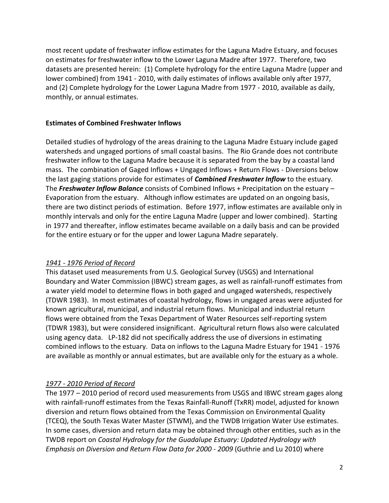most recent update of freshwater inflow estimates for the Laguna Madre Estuary, and focuses on estimates for freshwater inflow to the Lower Laguna Madre after 1977. Therefore, two datasets are presented herein: (1) Complete hydrology for the entire Laguna Madre (upper and lower combined) from 1941 - 2010, with daily estimates of inflows available only after 1977, and (2) Complete hydrology for the Lower Laguna Madre from 1977 - 2010, available as daily, monthly, or annual estimates.

## **Estimates of Combined Freshwater Inflows**

Detailed studies of hydrology of the areas draining to the Laguna Madre Estuary include gaged watersheds and ungaged portions of small coastal basins. The Rio Grande does not contribute freshwater inflow to the Laguna Madre because it is separated from the bay by a coastal land mass. The combination of Gaged Inflows + Ungaged Inflows + Return Flows - Diversions below the last gaging stations provide for estimates of *Combined Freshwater Inflow* to the estuary. The *Freshwater Inflow Balance* consists of Combined Inflows + Precipitation on the estuary – Evaporation from the estuary. Although inflow estimates are updated on an ongoing basis, there are two distinct periods of estimation. Before 1977, inflow estimates are available only in monthly intervals and only for the entire Laguna Madre (upper and lower combined). Starting in 1977 and thereafter, inflow estimates became available on a daily basis and can be provided for the entire estuary or for the upper and lower Laguna Madre separately.

## *1941 - 1976 Period of Record*

This dataset used measurements from U.S. Geological Survey (USGS) and International Boundary and Water Commission (IBWC) stream gages, as well as rainfall-runoff estimates from a water yield model to determine flows in both gaged and ungaged watersheds, respectively (TDWR 1983). In most estimates of coastal hydrology, flows in ungaged areas were adjusted for known agricultural, municipal, and industrial return flows. Municipal and industrial return flows were obtained from the Texas Department of Water Resources self-reporting system (TDWR 1983), but were considered insignificant. Agricultural return flows also were calculated using agency data. LP-182 did not specifically address the use of diversions in estimating combined inflows to the estuary. Data on inflows to the Laguna Madre Estuary for 1941 - 1976 are available as monthly or annual estimates, but are available only for the estuary as a whole.

## *1977 - 2010 Period of Record*

The 1977 – 2010 period of record used measurements from USGS and IBWC stream gages along with rainfall-runoff estimates from the Texas Rainfall-Runoff (TxRR) model, adjusted for known diversion and return flows obtained from the Texas Commission on Environmental Quality (TCEQ), the South Texas Water Master (STWM), and the TWDB Irrigation Water Use estimates. In some cases, diversion and return data may be obtained through other entities, such as in the TWDB report on *Coastal Hydrology for the Guadalupe Estuary: Updated Hydrology with Emphasis on Diversion and Return Flow Data for 2000 - 2009* (Guthrie and Lu 2010) where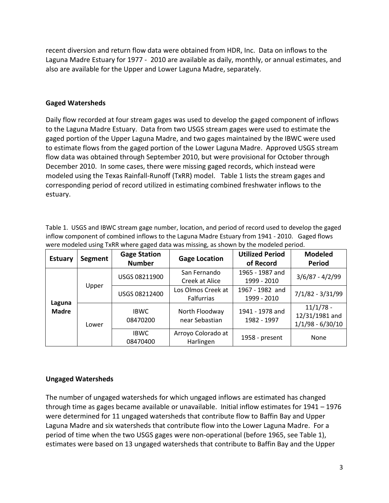recent diversion and return flow data were obtained from HDR, Inc. Data on inflows to the Laguna Madre Estuary for 1977 - 2010 are available as daily, monthly, or annual estimates, and also are available for the Upper and Lower Laguna Madre, separately.

## **Gaged Watersheds**

Daily flow recorded at four stream gages was used to develop the gaged component of inflows to the Laguna Madre Estuary. Data from two USGS stream gages were used to estimate the gaged portion of the Upper Laguna Madre, and two gages maintained by the IBWC were used to estimate flows from the gaged portion of the Lower Laguna Madre. Approved USGS stream flow data was obtained through September 2010, but were provisional for October through December 2010. In some cases, there were missing gaged records, which instead were modeled using the Texas Rainfall-Runoff (TxRR) model. Table 1 lists the stream gages and corresponding period of record utilized in estimating combined freshwater inflows to the estuary.

Table 1. USGS and IBWC stream gage number, location, and period of record used to develop the gaged inflow component of combined inflows to the Laguna Madre Estuary from 1941 - 2010. Gaged flows were modeled using TxRR where gaged data was missing, as shown by the modeled period.

| <b>Estuary</b>         | Segment | <b>Gage Station</b><br><b>Number</b>                     | <b>Gage Location</b>             | <b>Utilized Period</b><br>of Record                | <b>Modeled</b><br>Period                            |  |
|------------------------|---------|----------------------------------------------------------|----------------------------------|----------------------------------------------------|-----------------------------------------------------|--|
|                        |         | USGS 08211900                                            | San Fernando<br>Creek at Alice   | 1965 - 1987 and<br>1999 - 2010                     | $3/6/87 - 4/2/99$                                   |  |
|                        | Upper   | Los Olmos Creek at<br>USGS 08212400<br><b>Falfurrias</b> |                                  | 1967 - 1982 and<br>7/1/82 - 3/31/99<br>1999 - 2010 |                                                     |  |
| Laguna<br><b>Madre</b> | Lower   | <b>IBWC</b><br>08470200                                  | North Floodway<br>near Sebastian | 1941 - 1978 and<br>1982 - 1997                     | $11/1/78$ -<br>12/31/1981 and<br>$1/1/98 - 6/30/10$ |  |
|                        |         | <b>IBWC</b><br>08470400                                  | Arroyo Colorado at<br>Harlingen  | 1958 - present                                     | None                                                |  |

## **Ungaged Watersheds**

The number of ungaged watersheds for which ungaged inflows are estimated has changed through time as gages became available or unavailable. Initial inflow estimates for 1941 – 1976 were determined for 11 ungaged watersheds that contribute flow to Baffin Bay and Upper Laguna Madre and six watersheds that contribute flow into the Lower Laguna Madre. For a period of time when the two USGS gages were non-operational (before 1965, see Table 1), estimates were based on 13 ungaged watersheds that contribute to Baffin Bay and the Upper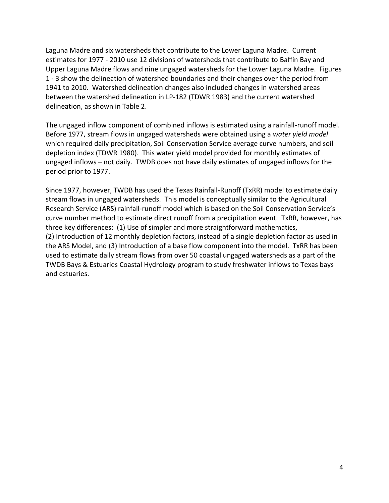Laguna Madre and six watersheds that contribute to the Lower Laguna Madre. Current estimates for 1977 - 2010 use 12 divisions of watersheds that contribute to Baffin Bay and Upper Laguna Madre flows and nine ungaged watersheds for the Lower Laguna Madre. Figures 1 - 3 show the delineation of watershed boundaries and their changes over the period from 1941 to 2010. Watershed delineation changes also included changes in watershed areas between the watershed delineation in LP-182 (TDWR 1983) and the current watershed delineation, as shown in Table 2.

The ungaged inflow component of combined inflows is estimated using a rainfall-runoff model. Before 1977, stream flows in ungaged watersheds were obtained using a *water yield model* which required daily precipitation, Soil Conservation Service average curve numbers, and soil depletion index (TDWR 1980). This water yield model provided for monthly estimates of ungaged inflows – not daily. TWDB does not have daily estimates of ungaged inflows for the period prior to 1977.

Since 1977, however, TWDB has used the Texas Rainfall-Runoff (TxRR) model to estimate daily stream flows in ungaged watersheds. This model is conceptually similar to the Agricultural Research Service (ARS) rainfall-runoff model which is based on the Soil Conservation Service's curve number method to estimate direct runoff from a precipitation event. TxRR, however, has three key differences: (1) Use of simpler and more straightforward mathematics, (2) Introduction of 12 monthly depletion factors, instead of a single depletion factor as used in the ARS Model, and (3) Introduction of a base flow component into the model. TxRR has been used to estimate daily stream flows from over 50 coastal ungaged watersheds as a part of the TWDB Bays & Estuaries Coastal Hydrology program to study freshwater inflows to Texas bays and estuaries.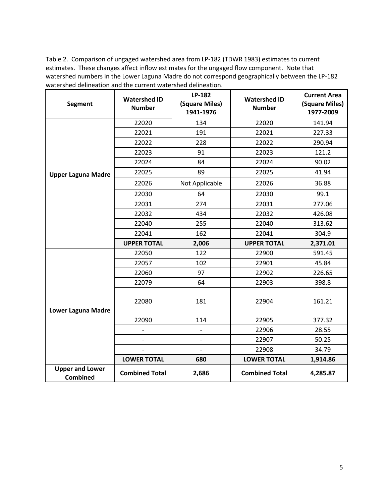Table 2. Comparison of ungaged watershed area from LP-182 (TDWR 1983) estimates to current estimates. These changes affect inflow estimates for the ungaged flow component. Note that watershed numbers in the Lower Laguna Madre do not correspond geographically between the LP-182 watershed delineation and the current watershed delineation.

| <b>Segment</b>                            | <b>Watershed ID</b><br><b>Number</b> | LP-182<br>(Square Miles)<br>1941-1976 | <b>Watershed ID</b><br><b>Number</b> | <b>Current Area</b><br>(Square Miles)<br>1977-2009 |
|-------------------------------------------|--------------------------------------|---------------------------------------|--------------------------------------|----------------------------------------------------|
|                                           | 22020                                | 134                                   | 22020                                | 141.94                                             |
|                                           | 22021                                | 191                                   | 22021                                | 227.33                                             |
|                                           | 22022                                | 228                                   | 22022                                | 290.94                                             |
|                                           | 22023                                | 91                                    | 22023                                | 121.2                                              |
|                                           | 22024                                | 84                                    | 22024                                | 90.02                                              |
| <b>Upper Laguna Madre</b>                 | 22025                                | 89                                    | 22025                                | 41.94                                              |
|                                           | 22026                                | Not Applicable                        | 22026                                | 36.88                                              |
|                                           | 22030                                | 64                                    | 22030                                | 99.1                                               |
|                                           | 22031                                | 274                                   | 22031                                | 277.06                                             |
|                                           | 22032                                | 434                                   | 22032                                | 426.08                                             |
|                                           | 22040                                | 255                                   | 22040                                | 313.62                                             |
|                                           | 22041                                | 162                                   | 22041                                | 304.9                                              |
|                                           | <b>UPPER TOTAL</b>                   | 2,006                                 | <b>UPPER TOTAL</b>                   | 2,371.01                                           |
|                                           | 22050                                | 122                                   | 22900                                | 591.45                                             |
|                                           | 22057                                | 102                                   | 22901                                | 45.84                                              |
|                                           | 22060                                | 97                                    | 22902                                | 226.65                                             |
|                                           | 22079                                | 64                                    | 22903                                | 398.8                                              |
| <b>Lower Laguna Madre</b>                 | 22080                                | 181                                   | 22904                                | 161.21                                             |
|                                           | 22090                                | 114                                   | 22905                                | 377.32                                             |
|                                           |                                      | $\overline{\phantom{a}}$              | 22906                                | 28.55                                              |
|                                           |                                      | $\overline{\phantom{a}}$              | 22907                                | 50.25                                              |
|                                           | $\overline{\phantom{m}}$             | $\overline{\phantom{a}}$              | 22908                                | 34.79                                              |
|                                           | <b>LOWER TOTAL</b>                   | 680                                   | <b>LOWER TOTAL</b>                   | 1,914.86                                           |
| <b>Upper and Lower</b><br><b>Combined</b> | <b>Combined Total</b>                | 2,686                                 | <b>Combined Total</b>                | 4,285.87                                           |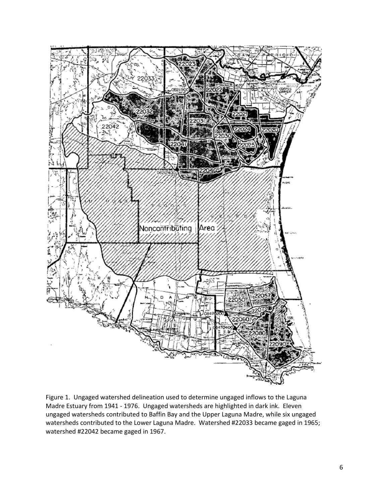

Figure 1. Ungaged watershed delineation used to determine ungaged inflows to the Laguna Madre Estuary from 1941 - 1976. Ungaged watersheds are highlighted in dark ink. Eleven ungaged watersheds contributed to Baffin Bay and the Upper Laguna Madre, while six ungaged watersheds contributed to the Lower Laguna Madre. Watershed #22033 became gaged in 1965; watershed #22042 became gaged in 1967.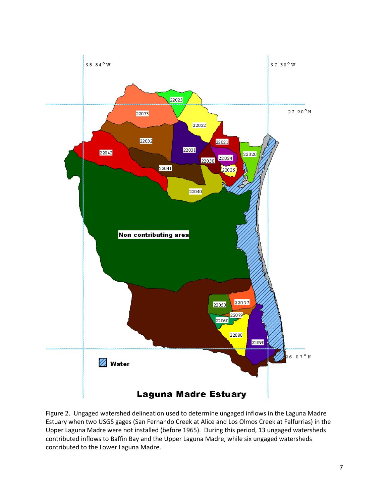

Figure 2. Ungaged watershed delineation used to determine ungaged inflows in the Laguna Madre Estuary when two USGS gages (San Fernando Creek at Alice and Los Olmos Creek at Falfurrias) in the Upper Laguna Madre were not installed (before 1965). During this period, 13 ungaged watersheds contributed inflows to Baffin Bay and the Upper Laguna Madre, while six ungaged watersheds contributed to the Lower Laguna Madre.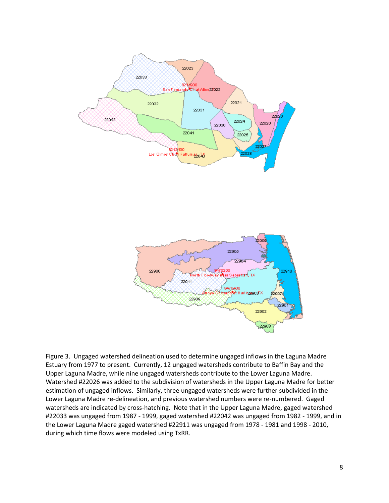



Figure 3. Ungaged watershed delineation used to determine ungaged inflows in the Laguna Madre Estuary from 1977 to present. Currently, 12 ungaged watersheds contribute to Baffin Bay and the Upper Laguna Madre, while nine ungaged watersheds contribute to the Lower Laguna Madre. Watershed #22026 was added to the subdivision of watersheds in the Upper Laguna Madre for better estimation of ungaged inflows. Similarly, three ungaged watersheds were further subdivided in the Lower Laguna Madre re-delineation, and previous watershed numbers were re-numbered. Gaged watersheds are indicated by cross-hatching. Note that in the Upper Laguna Madre, gaged watershed #22033 was ungaged from 1987 - 1999, gaged watershed #22042 was ungaged from 1982 - 1999, and in the Lower Laguna Madre gaged watershed #22911 was ungaged from 1978 - 1981 and 1998 - 2010, during which time flows were modeled using TxRR.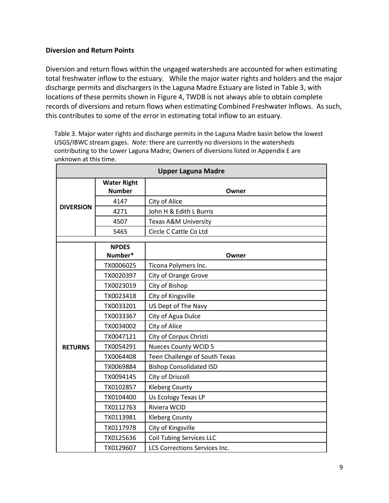## **Diversion and Return Points**

Diversion and return flows within the ungaged watersheds are accounted for when estimating total freshwater inflow to the estuary. While the major water rights and holders and the major discharge permits and dischargers in the Laguna Madre Estuary are listed in Table 3, with locations of these permits shown in Figure 4, TWDB is not always able to obtain complete records of diversions and return flows when estimating Combined Freshwater Inflows. As such, this contributes to some of the error in estimating total inflow to an estuary.

Table 3. Major water rights and discharge permits in the Laguna Madre basin below the lowest USGS/IBWC stream gages. *Note:* there are currently no diversions in the watersheds contributing to the Lower Laguna Madre; Owners of diversions listed in Appendix E are unknown at this time.

| <b>Upper Laguna Madre</b> |                                     |                                      |  |  |  |  |  |
|---------------------------|-------------------------------------|--------------------------------------|--|--|--|--|--|
|                           | <b>Water Right</b><br><b>Number</b> | Owner                                |  |  |  |  |  |
|                           | 4147                                | City of Alice                        |  |  |  |  |  |
| <b>DIVERSION</b>          | 4271                                | John H & Edith L Burris              |  |  |  |  |  |
|                           | 4507                                | <b>Texas A&amp;M University</b>      |  |  |  |  |  |
|                           | 5465                                | Circle C Cattle Co Ltd               |  |  |  |  |  |
|                           | <b>NPDES</b>                        |                                      |  |  |  |  |  |
|                           | Number*                             | Owner                                |  |  |  |  |  |
|                           | TX0006025                           | Ticona Polymers Inc.                 |  |  |  |  |  |
|                           | TX0020397                           | City of Orange Grove                 |  |  |  |  |  |
|                           | TX0023019                           | City of Bishop                       |  |  |  |  |  |
|                           | TX0023418                           | City of Kingsville                   |  |  |  |  |  |
|                           | TX0033201                           | US Dept of The Navy                  |  |  |  |  |  |
|                           | TX0033367                           | City of Agua Dulce                   |  |  |  |  |  |
|                           | TX0034002                           | City of Alice                        |  |  |  |  |  |
|                           | TX0047121                           | City of Corpus Christi               |  |  |  |  |  |
| <b>RETURNS</b>            | TX0054291                           | <b>Nueces County WCID 5</b>          |  |  |  |  |  |
|                           | TX0064408                           | Teen Challenge of South Texas        |  |  |  |  |  |
|                           | TX0069884                           | <b>Bishop Consolidated ISD</b>       |  |  |  |  |  |
|                           | TX0094145                           | City of Driscoll                     |  |  |  |  |  |
|                           | TX0102857                           | <b>Kleberg County</b>                |  |  |  |  |  |
|                           | TX0104400                           | Us Ecology Texas LP                  |  |  |  |  |  |
|                           | TX0112763                           | Riviera WCID                         |  |  |  |  |  |
|                           | TX0113981                           | <b>Kleberg County</b>                |  |  |  |  |  |
|                           | TX0117978                           | City of Kingsville                   |  |  |  |  |  |
|                           | TX0125636                           | <b>Coil Tubing Services LLC</b>      |  |  |  |  |  |
|                           | TX0129607                           | <b>LCS Corrections Services Inc.</b> |  |  |  |  |  |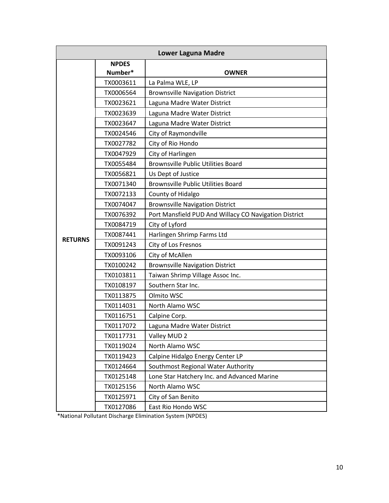|                | <b>Lower Laguna Madre</b> |                                                       |  |  |  |  |  |  |
|----------------|---------------------------|-------------------------------------------------------|--|--|--|--|--|--|
|                | <b>NPDES</b><br>Number*   | <b>OWNER</b>                                          |  |  |  |  |  |  |
|                | TX0003611                 | La Palma WLE, LP                                      |  |  |  |  |  |  |
|                | TX0006564                 | <b>Brownsville Navigation District</b>                |  |  |  |  |  |  |
|                | TX0023621                 | Laguna Madre Water District                           |  |  |  |  |  |  |
|                | TX0023639                 | Laguna Madre Water District                           |  |  |  |  |  |  |
|                | TX0023647                 | Laguna Madre Water District                           |  |  |  |  |  |  |
|                | TX0024546                 | City of Raymondville                                  |  |  |  |  |  |  |
|                | TX0027782                 | City of Rio Hondo                                     |  |  |  |  |  |  |
|                | TX0047929                 | City of Harlingen                                     |  |  |  |  |  |  |
|                | TX0055484                 | <b>Brownsville Public Utilities Board</b>             |  |  |  |  |  |  |
|                | TX0056821                 | Us Dept of Justice                                    |  |  |  |  |  |  |
|                | TX0071340                 | <b>Brownsville Public Utilities Board</b>             |  |  |  |  |  |  |
|                | TX0072133                 | County of Hidalgo                                     |  |  |  |  |  |  |
|                | TX0074047                 | <b>Brownsville Navigation District</b>                |  |  |  |  |  |  |
|                | TX0076392                 | Port Mansfield PUD And Willacy CO Navigation District |  |  |  |  |  |  |
|                | TX0084719                 | City of Lyford                                        |  |  |  |  |  |  |
| <b>RETURNS</b> | TX0087441                 | Harlingen Shrimp Farms Ltd                            |  |  |  |  |  |  |
|                | TX0091243                 | City of Los Fresnos                                   |  |  |  |  |  |  |
|                | TX0093106                 | City of McAllen                                       |  |  |  |  |  |  |
|                | TX0100242                 | <b>Brownsville Navigation District</b>                |  |  |  |  |  |  |
|                | TX0103811                 | Taiwan Shrimp Village Assoc Inc.                      |  |  |  |  |  |  |
|                | TX0108197                 | Southern Star Inc.                                    |  |  |  |  |  |  |
|                | TX0113875                 | Olmito WSC                                            |  |  |  |  |  |  |
|                | TX0114031                 | North Alamo WSC                                       |  |  |  |  |  |  |
|                | TX0116751                 | Calpine Corp.                                         |  |  |  |  |  |  |
|                | TX0117072                 | Laguna Madre Water District                           |  |  |  |  |  |  |
|                | TX0117731                 | Valley MUD 2                                          |  |  |  |  |  |  |
|                | TX0119024                 | North Alamo WSC                                       |  |  |  |  |  |  |
|                | TX0119423                 | Calpine Hidalgo Energy Center LP                      |  |  |  |  |  |  |
|                | TX0124664                 | Southmost Regional Water Authority                    |  |  |  |  |  |  |
|                | TX0125148                 | Lone Star Hatchery Inc. and Advanced Marine           |  |  |  |  |  |  |
|                | TX0125156                 | North Alamo WSC                                       |  |  |  |  |  |  |
|                | TX0125971                 | City of San Benito                                    |  |  |  |  |  |  |
|                | TX0127086                 | East Rio Hondo WSC                                    |  |  |  |  |  |  |

\*National Pollutant Discharge Elimination System (NPDES)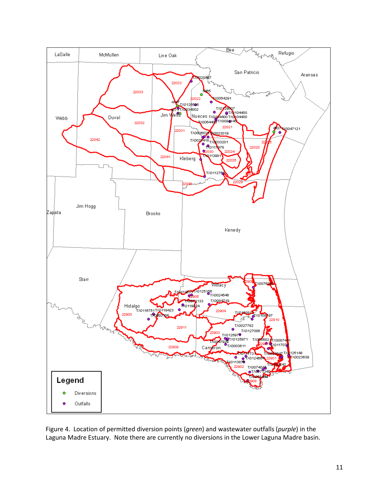

Figure 4. Location of permitted diversion points (*green*) and wastewater outfalls (*purple*) in the Laguna Madre Estuary. Note there are currently no diversions in the Lower Laguna Madre basin.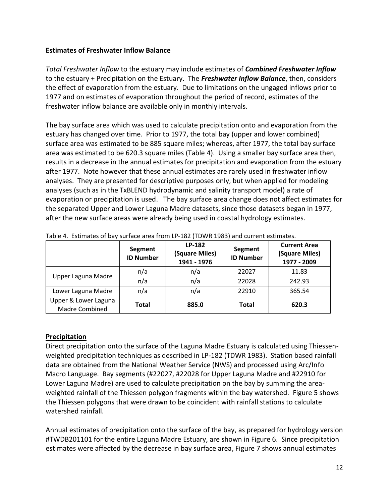## **Estimates of Freshwater Inflow Balance**

*Total Freshwater Inflow* to the estuary may include estimates of *Combined Freshwater Inflow* to the estuary + Precipitation on the Estuary. The *Freshwater Inflow Balance*, then, considers the effect of evaporation from the estuary. Due to limitations on the ungaged inflows prior to 1977 and on estimates of evaporation throughout the period of record, estimates of the freshwater inflow balance are available only in monthly intervals.

The bay surface area which was used to calculate precipitation onto and evaporation from the estuary has changed over time. Prior to 1977, the total bay (upper and lower combined) surface area was estimated to be 885 square miles; whereas, after 1977, the total bay surface area was estimated to be 620.3 square miles (Table 4). Using a smaller bay surface area then, results in a decrease in the annual estimates for precipitation and evaporation from the estuary after 1977. Note however that these annual estimates are rarely used in freshwater inflow analyses. They are presented for descriptive purposes only, but when applied for modeling analyses (such as in the TxBLEND hydrodynamic and salinity transport model) a rate of evaporation or precipitation is used. The bay surface area change does not affect estimates for the separated Upper and Lower Laguna Madre datasets, since those datasets began in 1977, after the new surface areas were already being used in coastal hydrology estimates.

|                                               | Segment<br><b>ID Number</b> | LP-182<br>(Square Miles)<br>1941 - 1976 | Segment<br><b>ID Number</b> | <b>Current Area</b><br>(Square Miles)<br>1977 - 2009 |
|-----------------------------------------------|-----------------------------|-----------------------------------------|-----------------------------|------------------------------------------------------|
| Upper Laguna Madre                            | n/a                         | n/a                                     | 22027                       | 11.83                                                |
|                                               | n/a                         | n/a                                     | 22028                       | 242.93                                               |
| Lower Laguna Madre                            | n/a                         | n/a                                     | 22910                       | 365.54                                               |
| Upper & Lower Laguna<br><b>Madre Combined</b> | Total                       | 885.0                                   | <b>Total</b>                | 620.3                                                |

Table 4. Estimates of bay surface area from LP-182 (TDWR 1983) and current estimates.

## **Precipitation**

Direct precipitation onto the surface of the Laguna Madre Estuary is calculated using Thiessenweighted precipitation techniques as described in LP-182 (TDWR 1983). Station based rainfall data are obtained from the National Weather Service (NWS) and processed using Arc/Info Macro Language. Bay segments (#22027, #22028 for Upper Laguna Madre and #22910 for Lower Laguna Madre) are used to calculate precipitation on the bay by summing the areaweighted rainfall of the Thiessen polygon fragments within the bay watershed. Figure 5 shows the Thiessen polygons that were drawn to be coincident with rainfall stations to calculate watershed rainfall.

Annual estimates of precipitation onto the surface of the bay, as prepared for hydrology version #TWDB201101 for the entire Laguna Madre Estuary, are shown in Figure 6. Since precipitation estimates were affected by the decrease in bay surface area, Figure 7 shows annual estimates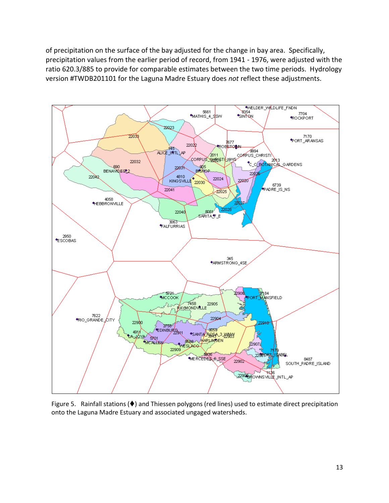of precipitation on the surface of the bay adjusted for the change in bay area. Specifically, precipitation values from the earlier period of record, from 1941 - 1976, were adjusted with the ratio 620.3/885 to provide for comparable estimates between the two time periods. Hydrology version #TWDB201101 for the Laguna Madre Estuary does *not* reflect these adjustments.



Figure 5. Rainfall stations  $(\blacklozenge)$  and Thiessen polygons (red lines) used to estimate direct precipitation onto the Laguna Madre Estuary and associated ungaged watersheds.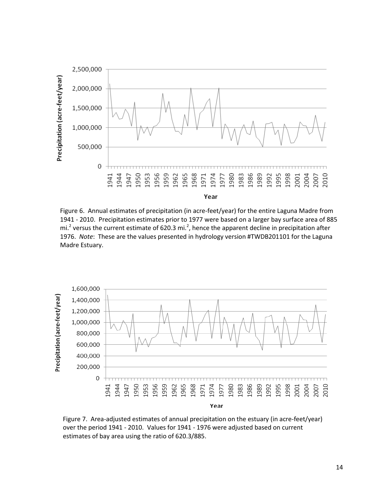

Figure 6. Annual estimates of precipitation (in acre-feet/year) for the entire Laguna Madre from 1941 - 2010. Precipitation estimates prior to 1977 were based on a larger bay surface area of 885 mi.<sup>2</sup> versus the current estimate of 620.3 mi.<sup>2</sup>, hence the apparent decline in precipitation after 1976. *Note*: These are the values presented in hydrology version #TWDB201101 for the Laguna Madre Estuary.



Figure 7. Area-adjusted estimates of annual precipitation on the estuary (in acre-feet/year) over the period 1941 - 2010. Values for 1941 - 1976 were adjusted based on current estimates of bay area using the ratio of 620.3/885.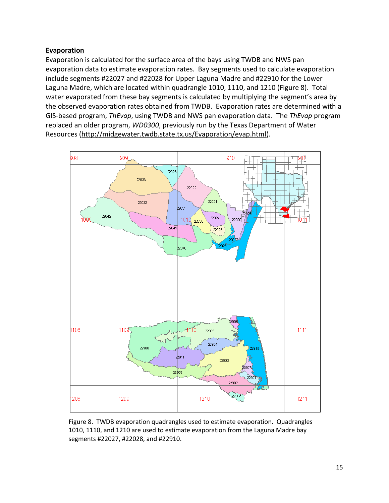## **Evaporation**

Evaporation is calculated for the surface area of the bays using TWDB and NWS pan evaporation data to estimate evaporation rates. Bay segments used to calculate evaporation include segments #22027 and #22028 for Upper Laguna Madre and #22910 for the Lower Laguna Madre, which are located within quadrangle 1010, 1110, and 1210 (Figure 8). Total water evaporated from these bay segments is calculated by multiplying the segment's area by the observed evaporation rates obtained from TWDB. Evaporation rates are determined with a GIS-based program, *ThEvap*, using TWDB and NWS pan evaporation data. The *ThEvap* program replaced an older program, *WD0300*, previously run by the Texas Department of Water Resources [\(http://midgewater.twdb.state.tx.us/Evaporation/evap.html\)](http://midgewater.twdb.state.tx.us/Evaporation/evap.html).



Figure 8. TWDB evaporation quadrangles used to estimate evaporation. Quadrangles 1010, 1110, and 1210 are used to estimate evaporation from the Laguna Madre bay segments #22027, #22028, and #22910.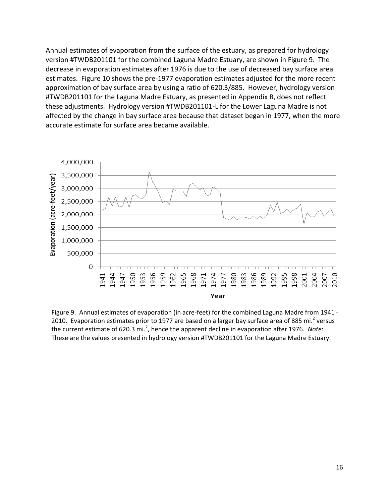Annual estimates of evaporation from the surface of the estuary, as prepared for hydrology version #TWDB201101 for the combined Laguna Madre Estuary, are shown in Figure 9. The decrease in evaporation estimates after 1976 is due to the use of decreased bay surface area estimates. Figure 10 shows the pre-1977 evaporation estimates adjusted for the more recent approximation of bay surface area by using a ratio of 620.3/885. However, hydrology version #TWDB201101 for the Laguna Madre Estuary, as presented in Appendix B, does not reflect these adjustments. Hydrology version #TWDB201101-L for the Lower Laguna Madre is not affected by the change in bay surface area because that dataset began in 1977, when the more accurate estimate for surface area became available.



Figure 9. Annual estimates of evaporation (in acre-feet) for the combined Laguna Madre from 1941 - 2010. Evaporation estimates prior to 1977 are based on a larger bay surface area of 885 mi.<sup>2</sup> versus the current estimate of 620.3 mi.<sup>2</sup>, hence the apparent decline in evaporation after 1976. Note: These are the values presented in hydrology version #TWDB201101 for the Laguna Madre Estuary.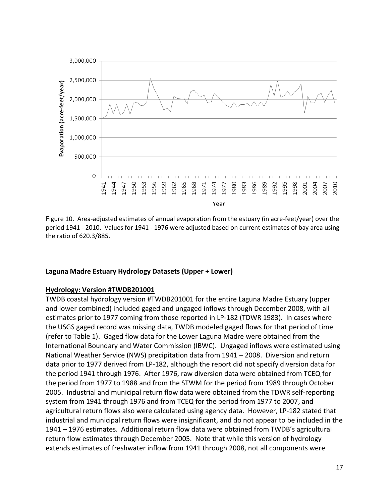

Figure 10. Area-adjusted estimates of annual evaporation from the estuary (in acre-feet/year) over the period 1941 - 2010. Values for 1941 - 1976 were adjusted based on current estimates of bay area using the ratio of 620.3/885.

#### **Laguna Madre Estuary Hydrology Datasets (Upper + Lower)**

#### **Hydrology: Version #TWDB201001**

TWDB coastal hydrology version #TWDB201001 for the entire Laguna Madre Estuary (upper and lower combined) included gaged and ungaged inflows through December 2008, with all estimates prior to 1977 coming from those reported in LP-182 (TDWR 1983). In cases where the USGS gaged record was missing data, TWDB modeled gaged flows for that period of time (refer to Table 1). Gaged flow data for the Lower Laguna Madre were obtained from the International Boundary and Water Commission (IBWC). Ungaged inflows were estimated using National Weather Service (NWS) precipitation data from 1941 – 2008. Diversion and return data prior to 1977 derived from LP-182, although the report did not specify diversion data for the period 1941 through 1976. After 1976, raw diversion data were obtained from TCEQ for the period from 1977 to 1988 and from the STWM for the period from 1989 through October 2005. Industrial and municipal return flow data were obtained from the TDWR self-reporting system from 1941 through 1976 and from TCEQ for the period from 1977 to 2007, and agricultural return flows also were calculated using agency data. However, LP-182 stated that industrial and municipal return flows were insignificant, and do not appear to be included in the 1941 – 1976 estimates. Additional return flow data were obtained from TWDB's agricultural return flow estimates through December 2005. Note that while this version of hydrology extends estimates of freshwater inflow from 1941 through 2008, not all components were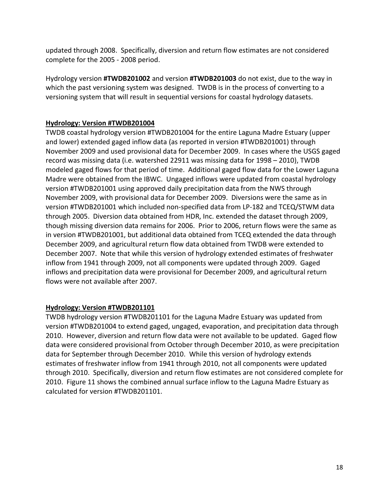updated through 2008. Specifically, diversion and return flow estimates are not considered complete for the 2005 - 2008 period.

Hydrology version **#TWDB201002** and version **#TWDB201003** do not exist, due to the way in which the past versioning system was designed. TWDB is in the process of converting to a versioning system that will result in sequential versions for coastal hydrology datasets.

## **Hydrology: Version #TWDB201004**

TWDB coastal hydrology version #TWDB201004 for the entire Laguna Madre Estuary (upper and lower) extended gaged inflow data (as reported in version #TWDB201001) through November 2009 and used provisional data for December 2009. In cases where the USGS gaged record was missing data (i.e. watershed 22911 was missing data for 1998 – 2010), TWDB modeled gaged flows for that period of time. Additional gaged flow data for the Lower Laguna Madre were obtained from the IBWC. Ungaged inflows were updated from coastal hydrology version #TWDB201001 using approved daily precipitation data from the NWS through November 2009, with provisional data for December 2009. Diversions were the same as in version #TWDB201001 which included non-specified data from LP-182 and TCEQ/STWM data through 2005. Diversion data obtained from HDR, Inc. extended the dataset through 2009, though missing diversion data remains for 2006. Prior to 2006, return flows were the same as in version #TWDB201001, but additional data obtained from TCEQ extended the data through December 2009, and agricultural return flow data obtained from TWDB were extended to December 2007. Note that while this version of hydrology extended estimates of freshwater inflow from 1941 through 2009, not all components were updated through 2009. Gaged inflows and precipitation data were provisional for December 2009, and agricultural return flows were not available after 2007.

#### **Hydrology: Version #TWDB201101**

TWDB hydrology version #TWDB201101 for the Laguna Madre Estuary was updated from version #TWDB201004 to extend gaged, ungaged, evaporation, and precipitation data through 2010. However, diversion and return flow data were not available to be updated. Gaged flow data were considered provisional from October through December 2010, as were precipitation data for September through December 2010. While this version of hydrology extends estimates of freshwater inflow from 1941 through 2010, not all components were updated through 2010. Specifically, diversion and return flow estimates are not considered complete for 2010. Figure 11 shows the combined annual surface inflow to the Laguna Madre Estuary as calculated for version #TWDB201101.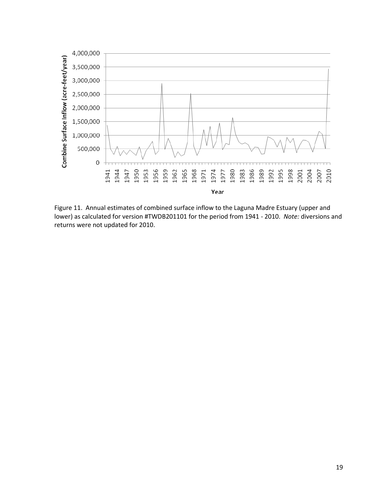

Figure 11. Annual estimates of combined surface inflow to the Laguna Madre Estuary (upper and lower) as calculated for version #TWDB201101 for the period from 1941 - 2010. *Note:* diversions and returns were not updated for 2010.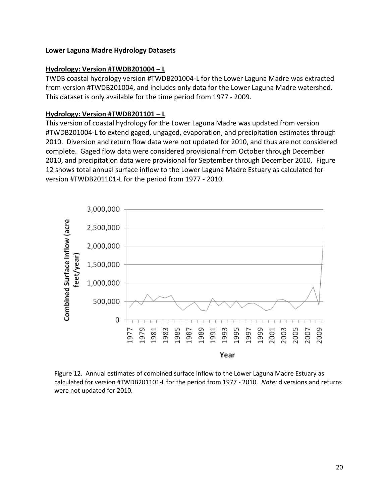#### **Lower Laguna Madre Hydrology Datasets**

#### **Hydrology: Version #TWDB201004 – L**

TWDB coastal hydrology version #TWDB201004-L for the Lower Laguna Madre was extracted from version #TWDB201004, and includes only data for the Lower Laguna Madre watershed. This dataset is only available for the time period from 1977 - 2009.

### **Hydrology: Version #TWDB201101 – L**

This version of coastal hydrology for the Lower Laguna Madre was updated from version #TWDB201004-L to extend gaged, ungaged, evaporation, and precipitation estimates through 2010. Diversion and return flow data were not updated for 2010, and thus are not considered complete. Gaged flow data were considered provisional from October through December 2010, and precipitation data were provisional for September through December 2010. Figure 12 shows total annual surface inflow to the Lower Laguna Madre Estuary as calculated for version #TWDB201101-L for the period from 1977 - 2010.



Figure 12. Annual estimates of combined surface inflow to the Lower Laguna Madre Estuary as calculated for version #TWDB201101-L for the period from 1977 - 2010. *Note:* diversions and returns were not updated for 2010.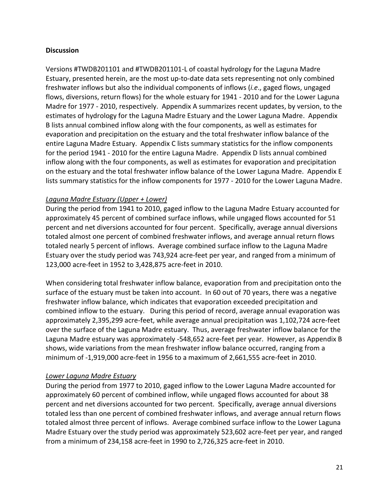## **Discussion**

Versions #TWDB201101 and #TWDB201101-L of coastal hydrology for the Laguna Madre Estuary, presented herein, are the most up-to-date data sets representing not only combined freshwater inflows but also the individual components of inflows (*i.e*., gaged flows, ungaged flows, diversions, return flows) for the whole estuary for 1941 - 2010 and for the Lower Laguna Madre for 1977 - 2010, respectively.Appendix A summarizes recent updates, by version, to the estimates of hydrology for the Laguna Madre Estuary and the Lower Laguna Madre. Appendix B lists annual combined inflow along with the four components, as well as estimates for evaporation and precipitation on the estuary and the total freshwater inflow balance of the entire Laguna Madre Estuary. Appendix C lists summary statistics for the inflow components for the period 1941 - 2010 for the entire Laguna Madre. Appendix D lists annual combined inflow along with the four components, as well as estimates for evaporation and precipitation on the estuary and the total freshwater inflow balance of the Lower Laguna Madre. Appendix E lists summary statistics for the inflow components for 1977 - 2010 for the Lower Laguna Madre.

## *Laguna Madre Estuary (Upper + Lower)*

During the period from 1941 to 2010, gaged inflow to the Laguna Madre Estuary accounted for approximately 45 percent of combined surface inflows, while ungaged flows accounted for 51 percent and net diversions accounted for four percent. Specifically, average annual diversions totaled almost one percent of combined freshwater inflows, and average annual return flows totaled nearly 5 percent of inflows. Average combined surface inflow to the Laguna Madre Estuary over the study period was 743,924 acre-feet per year, and ranged from a minimum of 123,000 acre-feet in 1952 to 3,428,875 acre-feet in 2010.

When considering total freshwater inflow balance, evaporation from and precipitation onto the surface of the estuary must be taken into account. In 60 out of 70 years, there was a negative freshwater inflow balance, which indicates that evaporation exceeded precipitation and combined inflow to the estuary. During this period of record, average annual evaporation was approximately 2,395,299 acre-feet, while average annual precipitation was 1,102,724 acre-feet over the surface of the Laguna Madre estuary. Thus, average freshwater inflow balance for the Laguna Madre estuary was approximately -548,652 acre-feet per year. However, as Appendix B shows, wide variations from the mean freshwater inflow balance occurred, ranging from a minimum of -1,919,000 acre-feet in 1956 to a maximum of 2,661,555 acre-feet in 2010.

#### *Lower Laguna Madre Estuary*

During the period from 1977 to 2010, gaged inflow to the Lower Laguna Madre accounted for approximately 60 percent of combined inflow, while ungaged flows accounted for about 38 percent and net diversions accounted for two percent. Specifically, average annual diversions totaled less than one percent of combined freshwater inflows, and average annual return flows totaled almost three percent of inflows. Average combined surface inflow to the Lower Laguna Madre Estuary over the study period was approximately 523,602 acre-feet per year, and ranged from a minimum of 234,158 acre-feet in 1990 to 2,726,325 acre-feet in 2010.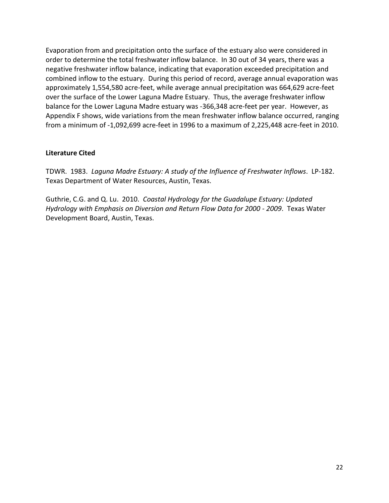Evaporation from and precipitation onto the surface of the estuary also were considered in order to determine the total freshwater inflow balance. In 30 out of 34 years, there was a negative freshwater inflow balance, indicating that evaporation exceeded precipitation and combined inflow to the estuary. During this period of record, average annual evaporation was approximately 1,554,580 acre-feet, while average annual precipitation was 664,629 acre-feet over the surface of the Lower Laguna Madre Estuary. Thus, the average freshwater inflow balance for the Lower Laguna Madre estuary was -366,348 acre-feet per year. However, as Appendix F shows, wide variations from the mean freshwater inflow balance occurred, ranging from a minimum of -1,092,699 acre-feet in 1996 to a maximum of 2,225,448 acre-feet in 2010.

## **Literature Cited**

TDWR. 1983. *Laguna Madre Estuary: A study of the Influence of Freshwater Inflows*. LP-182. Texas Department of Water Resources, Austin, Texas.

Guthrie, C.G. and Q. Lu. 2010. *Coastal Hydrology for the Guadalupe Estuary: Updated Hydrology with Emphasis on Diversion and Return Flow Data for 2000 - 2009*. Texas Water Development Board, Austin, Texas.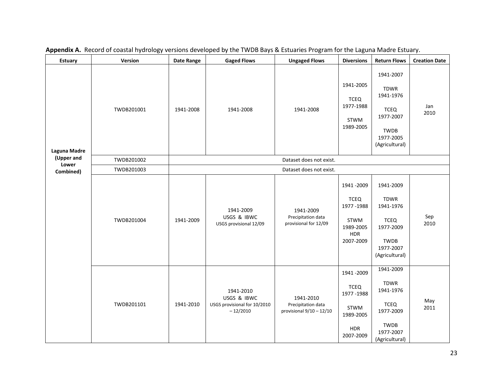| <b>Estuary</b>      | Version    | <b>Date Range</b> | <b>Gaged Flows</b>                                                     | <b>Ungaged Flows</b>                                          | <b>Diversions</b>                                                                       | <b>Return Flows</b>                                                                                             | <b>Creation Date</b> |
|---------------------|------------|-------------------|------------------------------------------------------------------------|---------------------------------------------------------------|-----------------------------------------------------------------------------------------|-----------------------------------------------------------------------------------------------------------------|----------------------|
| Laguna Madre        | TWDB201001 | 1941-2008         | 1941-2008                                                              | 1941-2008                                                     | 1941-2005<br><b>TCEQ</b><br>1977-1988<br>STWM<br>1989-2005                              | 1941-2007<br><b>TDWR</b><br>1941-1976<br><b>TCEQ</b><br>1977-2007<br><b>TWDB</b><br>1977-2005<br>(Agricultural) | Jan<br>2010          |
| (Upper and<br>Lower | TWDB201002 |                   |                                                                        | Dataset does not exist.                                       |                                                                                         |                                                                                                                 |                      |
| Combined)           | TWDB201003 |                   |                                                                        |                                                               |                                                                                         |                                                                                                                 |                      |
|                     | TWDB201004 | 1941-2009         | 1941-2009<br>USGS & IBWC<br>USGS provisional 12/09                     | 1941-2009<br>Precipitation data<br>provisional for 12/09      | 1941 - 2009<br><b>TCEQ</b><br>1977-1988<br>STWM<br>1989-2005<br><b>HDR</b><br>2007-2009 | 1941-2009<br><b>TDWR</b><br>1941-1976<br><b>TCEQ</b><br>1977-2009<br>TWDB<br>1977-2007<br>(Agricultural)        | Sep<br>2010          |
|                     | TWDB201101 | 1941-2010         | 1941-2010<br>USGS & IBWC<br>USGS provisional for 10/2010<br>$-12/2010$ | 1941-2010<br>Precipitation data<br>provisional $9/10 - 12/10$ | 1941 - 2009<br><b>TCEQ</b><br>1977-1988<br>STWM<br>1989-2005<br><b>HDR</b><br>2007-2009 | 1941-2009<br><b>TDWR</b><br>1941-1976<br><b>TCEQ</b><br>1977-2009<br><b>TWDB</b><br>1977-2007<br>(Agricultural) | May<br>2011          |

**Appendix A.** Record of coastal hydrology versions developed by the TWDB Bays & Estuaries Program for the Laguna Madre Estuary.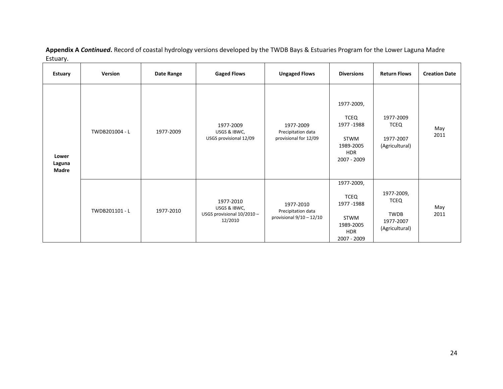| <b>Estuary</b>           | Version        | Date Range | <b>Gaged Flows</b>                                                 | <b>Ungaged Flows</b>                                          | <b>Diversions</b>                                                                   | <b>Return Flows</b>                                              | <b>Creation Date</b> |
|--------------------------|----------------|------------|--------------------------------------------------------------------|---------------------------------------------------------------|-------------------------------------------------------------------------------------|------------------------------------------------------------------|----------------------|
| Lower<br>Laguna<br>Madre | TWDB201004 - L | 1977-2009  | 1977-2009<br>USGS & IBWC,<br>USGS provisional 12/09                | 1977-2009<br>Precipitation data<br>provisional for 12/09      | 1977-2009,<br>TCEQ<br>1977 - 1988<br>STWM<br>1989-2005<br><b>HDR</b><br>2007 - 2009 | 1977-2009<br><b>TCEQ</b><br>1977-2007<br>(Agricultural)          | May<br>2011          |
|                          | TWDB201101 - L | 1977-2010  | 1977-2010<br>USGS & IBWC,<br>USGS provisional 10/2010 -<br>12/2010 | 1977-2010<br>Precipitation data<br>provisional $9/10 - 12/10$ | 1977-2009,<br>TCEQ<br>1977-1988<br>STWM<br>1989-2005<br><b>HDR</b><br>2007 - 2009   | 1977-2009,<br><b>TCEQ</b><br>TWDB<br>1977-2007<br>(Agricultural) | May<br>2011          |

**Appendix A** *Continued***.** Record of coastal hydrology versions developed by the TWDB Bays & Estuaries Program for the Lower Laguna Madre Estuary.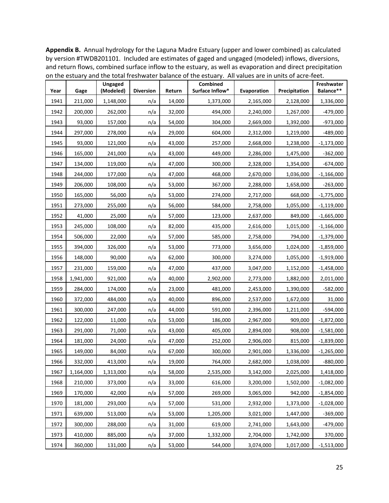**Appendix B.** Annual hydrology for the Laguna Madre Estuary (upper and lower combined) as calculated by version #TWDB201101. Included are estimates of gaged and ungaged (modeled) inflows, diversions, and return flows, combined surface inflow to the estuary, as well as evaporation and direct precipitation on the estuary and the total freshwater balance of the estuary. All values are in units of acre-feet.

| Year | Gage      | Ungaged<br>(Modeled) | <b>Diversion</b> | Return | <b>Combined</b><br>Surface Inflow* | Evaporation | Precipitation | Freshwater<br>Balance** |
|------|-----------|----------------------|------------------|--------|------------------------------------|-------------|---------------|-------------------------|
| 1941 | 211,000   | 1,148,000            | n/a              | 14,000 | 1,373,000                          | 2,165,000   | 2,128,000     | 1,336,000               |
| 1942 | 200,000   | 262,000              | n/a              | 32,000 | 494,000                            | 2,240,000   | 1,267,000     | -479,000                |
| 1943 | 93,000    | 157,000              | n/a              | 54,000 | 304,000                            | 2,669,000   | 1,392,000     | $-973,000$              |
| 1944 | 297,000   | 278,000              | n/a              | 29,000 | 604,000                            | 2,312,000   | 1,219,000     | -489,000                |
| 1945 | 93,000    | 121,000              | n/a              | 43,000 | 257,000                            | 2,668,000   | 1,238,000     | $-1,173,000$            |
| 1946 | 165,000   | 241,000              | n/a              | 43,000 | 449,000                            | 2,286,000   | 1,475,000     | $-362,000$              |
| 1947 | 134,000   | 119,000              | n/a              | 47,000 | 300,000                            | 2,328,000   | 1,354,000     | $-674,000$              |
| 1948 | 244,000   | 177,000              | n/a              | 47,000 | 468,000                            | 2,670,000   | 1,036,000     | $-1,166,000$            |
| 1949 | 206,000   | 108,000              | n/a              | 53,000 | 367,000                            | 2,288,000   | 1,658,000     | $-263,000$              |
| 1950 | 165,000   | 56,000               | n/a              | 53,000 | 274,000                            | 2,717,000   | 668,000       | $-1,775,000$            |
| 1951 | 273,000   | 255,000              | n/a              | 56,000 | 584,000                            | 2,758,000   | 1,055,000     | $-1,119,000$            |
| 1952 | 41,000    | 25,000               | n/a              | 57,000 | 123,000                            | 2,637,000   | 849,000       | $-1,665,000$            |
| 1953 | 245,000   | 108,000              | n/a              | 82,000 | 435,000                            | 2,616,000   | 1,015,000     | $-1,166,000$            |
| 1954 | 506,000   | 22,000               | n/a              | 57,000 | 585,000                            | 2,758,000   | 794,000       | $-1,379,000$            |
| 1955 | 394,000   | 326,000              | n/a              | 53,000 | 773,000                            | 3,656,000   | 1,024,000     | $-1,859,000$            |
| 1956 | 148,000   | 90,000               | n/a              | 62,000 | 300,000                            | 3,274,000   | 1,055,000     | $-1,919,000$            |
| 1957 | 231,000   | 159,000              | n/a              | 47,000 | 437,000                            | 3,047,000   | 1,152,000     | $-1,458,000$            |
| 1958 | 1,941,000 | 921,000              | n/a              | 40,000 | 2,902,000                          | 2,773,000   | 1,882,000     | 2,011,000               |
| 1959 | 284,000   | 174,000              | n/a              | 23,000 | 481,000                            | 2,453,000   | 1,390,000     | $-582,000$              |
| 1960 | 372,000   | 484,000              | n/a              | 40,000 | 896,000                            | 2,537,000   | 1,672,000     | 31,000                  |
| 1961 | 300,000   | 247,000              | n/a              | 44,000 | 591,000                            | 2,396,000   | 1,211,000     | $-594,000$              |
| 1962 | 122,000   | 11,000               | n/a              | 53,000 | 186,000                            | 2,967,000   | 909,000       | $-1,872,000$            |
| 1963 | 291,000   | 71,000               | n/a              | 43,000 | 405,000                            | 2,894,000   | 908,000       | $-1,581,000$            |
| 1964 | 181,000   | 24,000               | n/a              | 47,000 | 252,000                            | 2,906,000   | 815,000       | $-1,839,000$            |
| 1965 | 149,000   | 84,000               | n/a              | 67,000 | 300,000                            | 2,901,000   | 1,336,000     | $-1,265,000$            |
| 1966 | 332,000   | 413,000              | n/a              | 19,000 | 764,000                            | 2,682,000   | 1,038,000     | $-880,000$              |
| 1967 | 1,164,000 | 1,313,000            | n/a              | 58,000 | 2,535,000                          | 3,142,000   | 2,025,000     | 1,418,000               |
| 1968 | 210,000   | 373,000              | n/a              | 33,000 | 616,000                            | 3,200,000   | 1,502,000     | $-1,082,000$            |
| 1969 | 170,000   | 42,000               | n/a              | 57,000 | 269,000                            | 3,065,000   | 942,000       | $-1,854,000$            |
| 1970 | 181,000   | 293,000              | n/a              | 57,000 | 531,000                            | 2,932,000   | 1,373,000     | $-1,028,000$            |
| 1971 | 639,000   | 513,000              | n/a              | 53,000 | 1,205,000                          | 3,021,000   | 1,447,000     | $-369,000$              |
| 1972 | 300,000   | 288,000              | n/a              | 31,000 | 619,000                            | 2,741,000   | 1,643,000     | $-479,000$              |
| 1973 | 410,000   | 885,000              | n/a              | 37,000 | 1,332,000                          | 2,704,000   | 1,742,000     | 370,000                 |
| 1974 | 360,000   | 131,000              | n/a              | 53,000 | 544,000                            | 3,074,000   | 1,017,000     | $-1,513,000$            |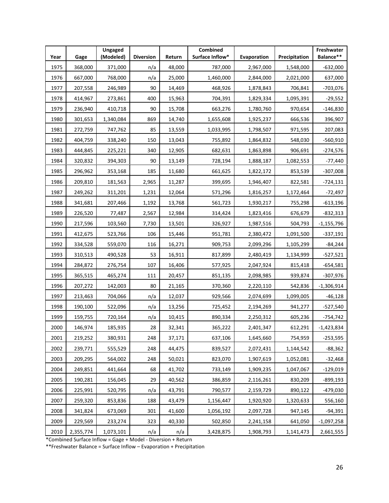| Year | Gage      | Ungaged<br>(Modeled) | <b>Diversion</b> | Return | <b>Combined</b><br>Surface Inflow* | Evaporation | Precipitation | Freshwater<br>Balance** |
|------|-----------|----------------------|------------------|--------|------------------------------------|-------------|---------------|-------------------------|
| 1975 | 368,000   | 371,000              | n/a              | 48,000 | 787,000                            | 2,967,000   | 1,548,000     | $-632,000$              |
| 1976 | 667,000   | 768,000              | n/a              | 25,000 | 1,460,000                          | 2,844,000   | 2,021,000     | 637,000                 |
| 1977 | 207,558   | 246,989              | 90               | 14,469 | 468,926                            | 1,878,843   | 706,841       | $-703,076$              |
| 1978 | 414,967   | 273,861              | 400              | 15,963 | 704,391                            | 1,829,334   | 1,095,391     | $-29,552$               |
| 1979 | 236,940   | 410,718              | 90               | 15,708 | 663,276                            | 1,780,760   | 970,654       | $-146,830$              |
| 1980 | 301,653   | 1,340,084            | 869              | 14,740 | 1,655,608                          | 1,925,237   | 666,536       | 396,907                 |
| 1981 | 272,759   | 747,762              | 85               | 13,559 | 1,033,995                          | 1,798,507   | 971,595       | 207,083                 |
| 1982 | 404,759   | 338,240              | 150              | 13,043 | 755,892                            | 1,864,832   | 548,030       | $-560,910$              |
| 1983 | 444,845   | 225,221              | 340              | 12,905 | 682,631                            | 1,863,898   | 906,691       | $-274,576$              |
| 1984 | 320,832   | 394,303              | 90               | 13,149 | 728,194                            | 1,888,187   | 1,082,553     | -77,440                 |
| 1985 | 296,962   | 353,168              | 185              | 11,680 | 661,625                            | 1,822,172   | 853,539       | $-307,008$              |
| 1986 | 209,810   | 181,563              | 2,965            | 11,287 | 399,695                            | 1,946,407   | 822,581       | $-724,131$              |
| 1987 | 249,262   | 311,201              | 1,231            | 12,064 | 571,296                            | 1,816,257   | 1,172,464     | $-72,497$               |
| 1988 | 341,681   | 207,466              | 1,192            | 13,768 | 561,723                            | 1,930,217   | 755,298       | $-613,196$              |
| 1989 | 226,520   | 77,487               | 2,567            | 12,984 | 314,424                            | 1,823,416   | 676,679       | $-832,313$              |
| 1990 | 217,596   | 103,560              | 7,730            | 13,501 | 326,927                            | 1,987,516   | 504,793       | $-1,155,796$            |
| 1991 | 412,675   | 523,766              | 106              | 15,446 | 951,781                            | 2,380,472   | 1,091,500     | $-337,191$              |
| 1992 | 334,528   | 559,070              | 116              | 16,271 | 909,753                            | 2,099,296   | 1,105,299     | -84,244                 |
| 1993 | 310,513   | 490,528              | 53               | 16,911 | 817,899                            | 2,480,419   | 1,134,999     | -527,521                |
| 1994 | 284,872   | 276,754              | 107              | 16,406 | 577,925                            | 2,047,924   | 815,418       | -654,581                |
| 1995 | 365,515   | 465,274              | 111              | 20,457 | 851,135                            | 2,098,985   | 939,874       | $-307,976$              |
| 1996 | 207,272   | 142,003              | 80               | 21,165 | 370,360                            | 2,220,110   | 542,836       | $-1,306,914$            |
| 1997 | 213,463   | 704,066              | n/a              | 12,037 | 929,566                            | 2,074,699   | 1,099,005     | $-46,128$               |
| 1998 | 190,100   | 522,096              | n/a              | 13,256 | 725,452                            | 2,194,269   | 941,277       | -527,540                |
| 1999 | 159,755   | 720,164              | n/a              | 10,415 | 890,334                            | 2,250,312   | 605,236       | -754,742                |
| 2000 | 146,974   | 185,935              | 28               | 32,341 | 365,222                            | 2,401,347   | 612,291       | -1,423,834              |
| 2001 | 219,252   | 380,931              | 248              | 37,171 | 637,106                            | 1,645,660   | 754,959       | $-253,595$              |
| 2002 | 239,771   | 555,529              | 248              | 44,475 | 839,527                            | 2,072,431   | 1,144,542     | $-88,362$               |
| 2003 | 209,295   | 564,002              | 248              | 50,021 | 823,070                            | 1,907,619   | 1,052,081     | $-32,468$               |
| 2004 | 249,851   | 441,664              | 68               | 41,702 | 733,149                            | 1,909,235   | 1,047,067     | $-129,019$              |
| 2005 | 190,281   | 156,045              | 29               | 40,562 | 386,859                            | 2,116,261   | 830,209       | $-899,193$              |
| 2006 | 225,991   | 520,795              | n/a              | 43,791 | 790,577                            | 2,159,729   | 890,122       | -479,030                |
| 2007 | 259,320   | 853,836              | 188              | 43,479 | 1,156,447                          | 1,920,920   | 1,320,633     | 556,160                 |
| 2008 | 341,824   | 673,069              | 301              | 41,600 | 1,056,192                          | 2,097,728   | 947,145       | $-94,391$               |
| 2009 | 229,569   | 233,274              | 323              | 40,330 | 502,850                            | 2,241,158   | 641,050       | $-1,097,258$            |
| 2010 | 2,355,774 | 1,073,101            | n/a              | n/a    | 3,428,875                          | 1,908,793   | 1,141,473     | 2,661,555               |

\*Combined Surface Inflow = Gage + Model - Diversion + Return

\*\*Freshwater Balance = Surface Inflow – Evaporation + Precipitation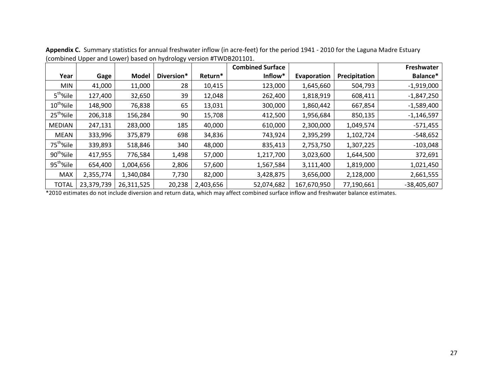|                       |            |              |            |           | <b>Combined Surface</b> |             |               | Freshwater    |
|-----------------------|------------|--------------|------------|-----------|-------------------------|-------------|---------------|---------------|
| Year                  | Gage       | <b>Model</b> | Diversion* | Return*   | Inflow*                 | Evaporation | Precipitation | Balance*      |
| <b>MIN</b>            | 41,000     | 11,000       | 28         | 10,415    | 123,000                 | 1,645,660   | 504,793       | $-1,919,000$  |
| 5 <sup>th</sup> %ile  | 127,400    | 32,650       | 39         | 12,048    | 262,400                 | 1,818,919   | 608,411       | $-1,847,250$  |
| $10^{th}$ %ile        | 148,900    | 76,838       | 65         | 13,031    | 300,000                 | 1,860,442   | 667,854       | $-1,589,400$  |
| 25 <sup>th</sup> %ile | 206,318    | 156,284      | 90         | 15,708    | 412,500                 | 1,956,684   | 850,135       | $-1,146,597$  |
| <b>MEDIAN</b>         | 247,131    | 283,000      | 185        | 40,000    | 610,000                 | 2,300,000   | 1,049,574     | $-571,455$    |
| MEAN                  | 333,996    | 375,879      | 698        | 34,836    | 743,924                 | 2,395,299   | 1,102,724     | $-548,652$    |
| 75 <sup>th</sup> %ile | 339,893    | 518,846      | 340        | 48,000    | 835,413                 | 2,753,750   | 1,307,225     | $-103,048$    |
| 90 <sup>th</sup> %ile | 417,955    | 776,584      | 1,498      | 57,000    | 1,217,700               | 3,023,600   | 1,644,500     | 372,691       |
| 95 <sup>th</sup> %ile | 654,400    | 1,004,656    | 2,806      | 57,600    | 1,567,584               | 3,111,400   | 1,819,000     | 1,021,450     |
| <b>MAX</b>            | 2,355,774  | 1,340,084    | 7,730      | 82,000    | 3,428,875               | 3,656,000   | 2,128,000     | 2,661,555     |
| <b>TOTAL</b>          | 23,379,739 | 26,311,525   | 20,238     | 2,403,656 | 52,074,682              | 167,670,950 | 77,190,661    | $-38,405,607$ |

**Appendix C.** Summary statistics for annual freshwater inflow (in acre-feet) for the period 1941 - 2010 for the Laguna Madre Estuary (combined Upper and Lower) based on hydrology version #TWDB201101.

\*2010 estimates do not include diversion and return data, which may affect combined surface inflow and freshwater balance estimates.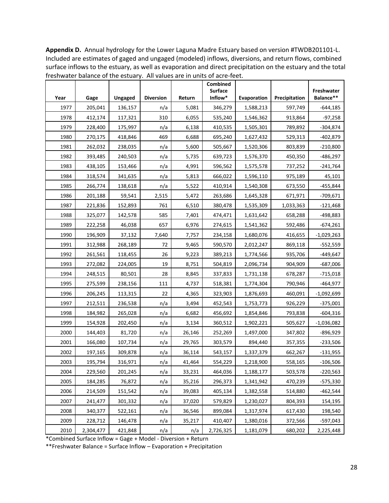**Appendix D.** Annual hydrology for the Lower Laguna Madre Estuary based on version #TWDB201101-L. Included are estimates of gaged and ungaged (modeled) inflows, diversions, and return flows, combined surface inflows to the estuary, as well as evaporation and direct precipitation on the estuary and the total freshwater balance of the estuary. All values are in units of acre-feet.

| Year | Gage      | <b>Ungaged</b> | <b>Diversion</b> | Return | Combined<br><b>Surface</b><br>Inflow* | Evaporation | Precipitation | Freshwater<br>Balance** |
|------|-----------|----------------|------------------|--------|---------------------------------------|-------------|---------------|-------------------------|
| 1977 | 205,041   | 136,157        | n/a              | 5,081  | 346,279                               | 1,588,213   | 597,749       | $-644,185$              |
| 1978 | 412,174   | 117,321        | 310              | 6,055  | 535,240                               | 1,546,362   | 913,864       | $-97,258$               |
| 1979 | 228,400   | 175,997        | n/a              | 6,138  | 410,535                               | 1,505,301   | 789,892       | $-304,874$              |
| 1980 | 270,175   | 418,846        | 469              | 6,688  | 695,240                               | 1,627,432   | 529,313       | -402,879                |
| 1981 | 262,032   | 238,035        | n/a              | 5,600  | 505,667                               | 1,520,306   | 803,839       | $-210,800$              |
| 1982 | 393,485   | 240,503        | n/a              | 5,735  | 639,723                               | 1,576,370   | 450,350       | $-486,297$              |
| 1983 | 438,105   | 153,466        | n/a              | 4,991  | 596,562                               | 1,575,578   | 737,252       | -241,764                |
| 1984 | 318,574   | 341,635        | n/a              | 5,813  | 666,022                               | 1,596,110   | 975,189       | 45,101                  |
| 1985 | 266,774   | 138,618        | n/a              | 5,522  | 410,914                               | 1,540,308   | 673,550       | -455,844                |
| 1986 | 201,188   | 59,541         | 2,515            | 5,472  | 263,686                               | 1,645,328   | 671,971       | $-709,671$              |
| 1987 | 221,836   | 152,893        | 761              | 6,510  | 380,478                               | 1,535,309   | 1,033,363     | -121,468                |
| 1988 | 325,077   | 142,578        | 585              | 7,401  | 474,471                               | 1,631,642   | 658,288       | -498,883                |
| 1989 | 222,258   | 46,038         | 657              | 6,976  | 274,615                               | 1,541,362   | 592,486       | $-674,261$              |
| 1990 | 196,909   | 37,132         | 7,640            | 7,757  | 234,158                               | 1,680,076   | 416,655       | $-1,029,263$            |
| 1991 | 312,988   | 268,189        | 72               | 9,465  | 590,570                               | 2,012,247   | 869,118       | $-552,559$              |
| 1992 | 261,561   | 118,455        | 26               | 9,223  | 389,213                               | 1,774,566   | 935,706       | -449,647                |
| 1993 | 272,082   | 224,005        | 19               | 8,751  | 504,819                               | 2,096,734   | 904,909       | $-687,006$              |
| 1994 | 248,515   | 80,501         | 28               | 8,845  | 337,833                               | 1,731,138   | 678,287       | $-715,018$              |
| 1995 | 275,599   | 238,156        | 111              | 4,737  | 518,381                               | 1,774,304   | 790,946       | $-464,977$              |
| 1996 | 206,245   | 113,315        | 22               | 4,365  | 323,903                               | 1,876,693   | 460,091       | $-1,092,699$            |
| 1997 | 212,511   | 236,538        | n/a              | 3,494  | 452,543                               | 1,753,773   | 926,229       | $-375,001$              |
| 1998 | 184,982   | 265,028        | n/a              | 6,682  | 456,692                               | 1,854,846   | 793,838       | $-604,316$              |
| 1999 | 154,928   | 202,450        | n/a              | 3,134  | 360,512                               | 1,902,221   | 505,627       | $-1,036,082$            |
| 2000 | 144,403   | 81,720         | n/a              | 26,146 | 252,269                               | 1,497,000   | 347,802       | $-896,929$              |
| 2001 | 166,080   | 107,734        | n/a              | 29,765 | 303,579                               | 894,440     | 357,355       | $-233,506$              |
| 2002 | 197,165   | 309,878        | n/a              | 36,114 | 543,157                               | 1,337,379   | 662,267       | $-131,955$              |
| 2003 | 195,794   | 316,971        | n/a              | 41,464 | 554,229                               | 1,218,900   | 558,165       | $-106,506$              |
| 2004 | 229,560   | 201,245        | n/a              | 33,231 | 464,036                               | 1,188,177   | 503,578       | $-220,563$              |
| 2005 | 184,285   | 76,872         | n/a              | 35,216 | 296,373                               | 1,341,942   | 470,239       | $-575,330$              |
| 2006 | 214,509   | 151,542        | n/a              | 39,083 | 405,134                               | 1,382,558   | 514,880       | $-462,544$              |
| 2007 | 241,477   | 301,332        | n/a              | 37,020 | 579,829                               | 1,230,027   | 804,393       | 154,195                 |
| 2008 | 340,377   | 522,161        | n/a              | 36,546 | 899,084                               | 1,317,974   | 617,430       | 198,540                 |
| 2009 | 228,712   | 146,478        | n/a              | 35,217 | 410,407                               | 1,380,016   | 372,566       | $-597,043$              |
| 2010 | 2,304,477 | 421,848        | n/a              | n/a    | 2,726,325                             | 1,181,079   | 680,202       | 2,225,448               |

\*Combined Surface Inflow = Gage + Model - Diversion + Return

\*\*Freshwater Balance = Surface Inflow – Evaporation + Precipitation